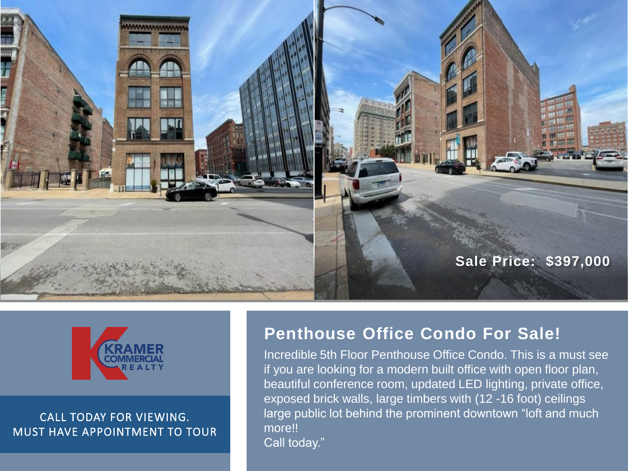



CALL TODAY FOR VIEWING. MUST HAVE APPOINTMENT TO TOUR

### **Penthouse Office Condo For Sale!**

Incredible 5th Floor Penthouse Office Condo. This is a must see if you are looking for a modern built office with open floor plan, beautiful conference room, updated LED lighting, private office, exposed brick walls, large timbers with (12 -16 foot) ceilings large public lot behind the prominent downtown "loft and much more!! Call today."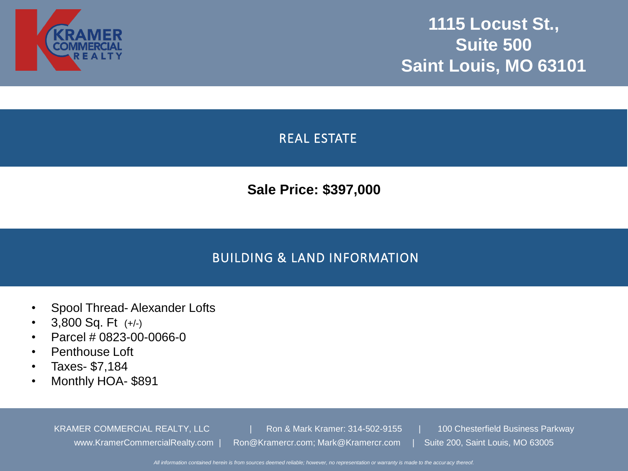

## **1115 Locust St., Suite 500 Saint Louis, MO 63101**

REAL ESTATE

**Sale Price: \$397,000**

#### BUILDING & LAND INFORMATION

- Spool Thread- Alexander Lofts
- 3,800 Sq. Ft (+/-)
- Parcel # 0823-00-0066-0
- Penthouse Loft
- Taxes- \$7,184
- Monthly HOA- \$891

KRAMER COMMERCIAL REALTY, LLC | Ron & Mark Kramer: 314-502-9155 | 100 Chesterfield Business Parkway www.KramerCommercialRealty.com | Ron@Kramercr.com; Mark@Kramercr.com | Suite 200, Saint Louis, MO 63005

*All information contained herein is from sources deemed reliable; however, no representation or warranty is made to the accuracy thereof.*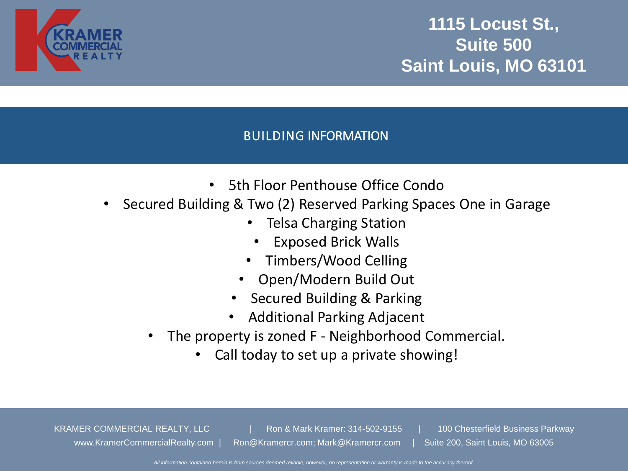

# **1115 Locust St., Suite 500 Saint Louis, MO 63101**

### BUILDING INFORMATION

- 5th Floor Penthouse Office Condo
- Secured Building & Two (2) Reserved Parking Spaces One in Garage
	- Telsa Charging Station
		- Exposed Brick Walls
	- Timbers/Wood Celling
	- Open/Modern Build Out
	- Secured Building & Parking
	- Additional Parking Adjacent
	- The property is zoned F Neighborhood Commercial.
		- Call today to set up a private showing!

KRAMER COMMERCIAL REALTY, LLC | Ron & Mark Kramer: 314-502-9155 | 100 Chesterfield Business Parkway www.KramerCommercialRealty.com | Ron@Kramercr.com; Mark@Kramercr.com | Suite 200, Saint Louis, MO 63005

*All information contained herein is from sources deemed reliable; however, no representation or warranty is made to the accuracy thereof.*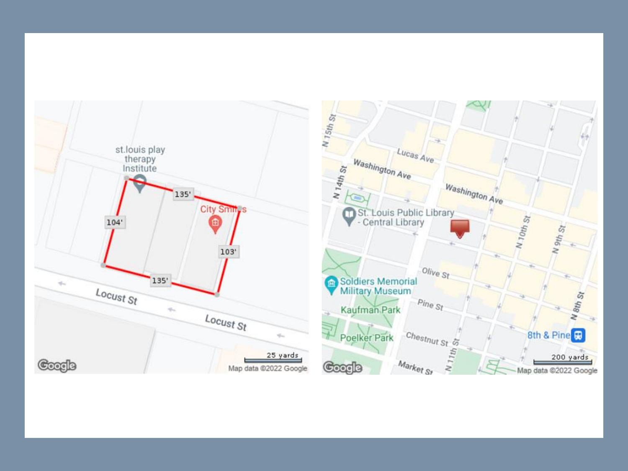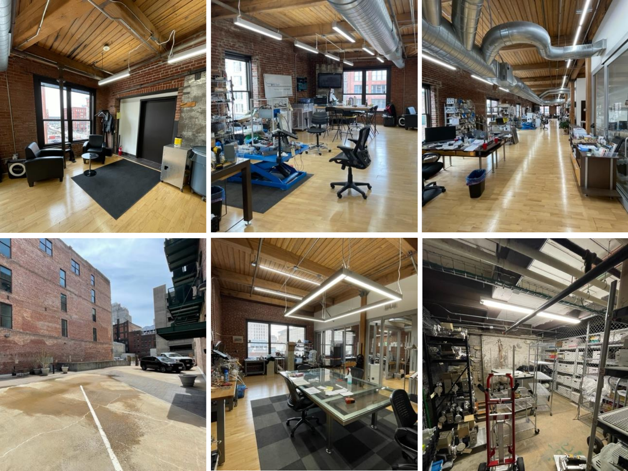